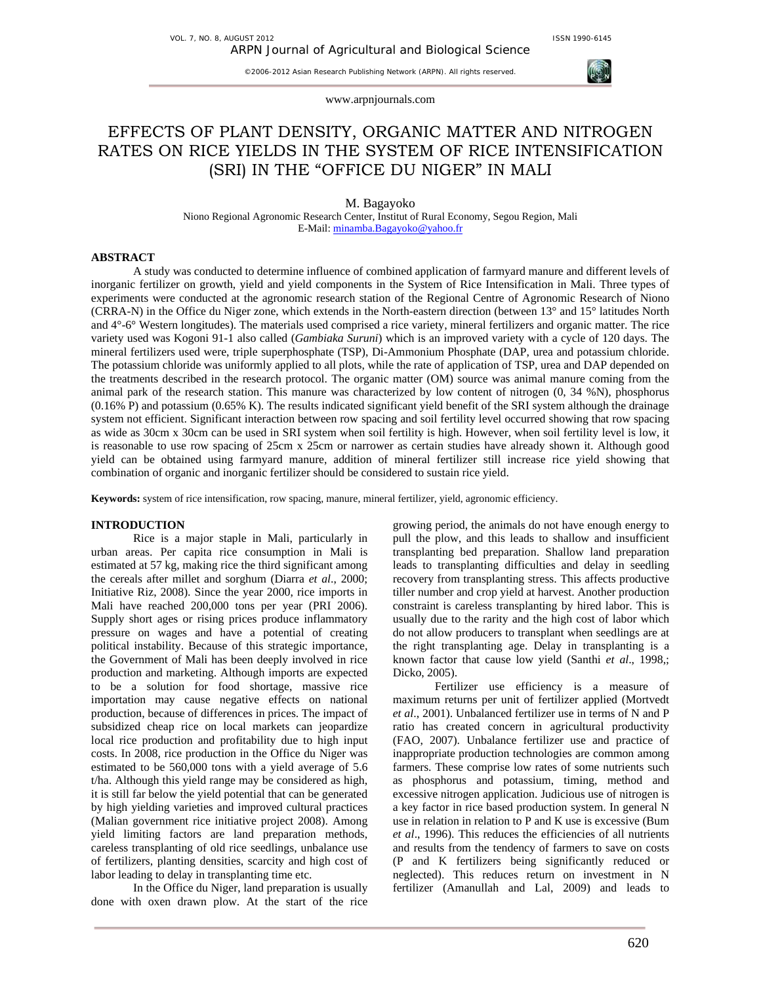

www.arpnjournals.com

# EFFECTS OF PLANT DENSITY, ORGANIC MATTER AND NITROGEN RATES ON RICE YIELDS IN THE SYSTEM OF RICE INTENSIFICATION (SRI) IN THE "OFFICE DU NIGER" IN MALI

M. Bagayoko

Niono Regional Agronomic Research Center, Institut of Rural Economy, Segou Region, Mali E-Mail: minamba.Bagayoko@yahoo.fr

#### **ABSTRACT**

A study was conducted to determine influence of combined application of farmyard manure and different levels of inorganic fertilizer on growth, yield and yield components in the System of Rice Intensification in Mali. Three types of experiments were conducted at the agronomic research station of the Regional Centre of Agronomic Research of Niono (CRRA-N) in the Office du Niger zone, which extends in the North-eastern direction (between 13° and 15° latitudes North and 4°-6° Western longitudes). The materials used comprised a rice variety, mineral fertilizers and organic matter. The rice variety used was Kogoni 91-1 also called (*Gambiaka Suruni*) which is an improved variety with a cycle of 120 days. The mineral fertilizers used were, triple superphosphate (TSP), Di-Ammonium Phosphate (DAP, urea and potassium chloride. The potassium chloride was uniformly applied to all plots, while the rate of application of TSP, urea and DAP depended on the treatments described in the research protocol. The organic matter (OM) source was animal manure coming from the animal park of the research station. This manure was characterized by low content of nitrogen (0, 34 %N), phosphorus  $(0.16\% \text{ P})$  and potassium  $(0.65\% \text{ K})$ . The results indicated significant yield benefit of the SRI system although the drainage system not efficient. Significant interaction between row spacing and soil fertility level occurred showing that row spacing as wide as 30cm x 30cm can be used in SRI system when soil fertility is high. However, when soil fertility level is low, it is reasonable to use row spacing of 25cm x 25cm or narrower as certain studies have already shown it. Although good yield can be obtained using farmyard manure, addition of mineral fertilizer still increase rice yield showing that combination of organic and inorganic fertilizer should be considered to sustain rice yield.

**Keywords:** system of rice intensification, row spacing, manure, mineral fertilizer, yield, agronomic efficiency.

## **INTRODUCTION**

Rice is a major staple in Mali, particularly in urban areas. Per capita rice consumption in Mali is estimated at 57 kg, making rice the third significant among the cereals after millet and sorghum (Diarra *et al*., 2000; Initiative Riz, 2008). Since the year 2000, rice imports in Mali have reached 200,000 tons per year (PRI 2006). Supply short ages or rising prices produce inflammatory pressure on wages and have a potential of creating political instability. Because of this strategic importance, the Government of Mali has been deeply involved in rice production and marketing. Although imports are expected to be a solution for food shortage, massive rice importation may cause negative effects on national production, because of differences in prices. The impact of subsidized cheap rice on local markets can jeopardize local rice production and profitability due to high input costs. In 2008, rice production in the Office du Niger was estimated to be 560,000 tons with a yield average of 5.6 t/ha. Although this yield range may be considered as high, it is still far below the yield potential that can be generated by high yielding varieties and improved cultural practices (Malian government rice initiative project 2008). Among yield limiting factors are land preparation methods, careless transplanting of old rice seedlings, unbalance use of fertilizers, planting densities, scarcity and high cost of labor leading to delay in transplanting time etc.

In the Office du Niger, land preparation is usually done with oxen drawn plow. At the start of the rice growing period, the animals do not have enough energy to pull the plow, and this leads to shallow and insufficient transplanting bed preparation. Shallow land preparation leads to transplanting difficulties and delay in seedling recovery from transplanting stress. This affects productive tiller number and crop yield at harvest. Another production constraint is careless transplanting by hired labor. This is usually due to the rarity and the high cost of labor which do not allow producers to transplant when seedlings are at the right transplanting age. Delay in transplanting is a known factor that cause low yield (Santhi *et al*., 1998,; Dicko, 2005).

Fertilizer use efficiency is a measure of maximum returns per unit of fertilizer applied (Mortvedt *et al*., 2001). Unbalanced fertilizer use in terms of N and P ratio has created concern in agricultural productivity (FAO, 2007). Unbalance fertilizer use and practice of inappropriate production technologies are common among farmers. These comprise low rates of some nutrients such as phosphorus and potassium, timing, method and excessive nitrogen application. Judicious use of nitrogen is a key factor in rice based production system. In general N use in relation in relation to P and K use is excessive (Bum *et al*., 1996). This reduces the efficiencies of all nutrients and results from the tendency of farmers to save on costs (P and K fertilizers being significantly reduced or neglected). This reduces return on investment in N fertilizer (Amanullah and Lal, 2009) and leads to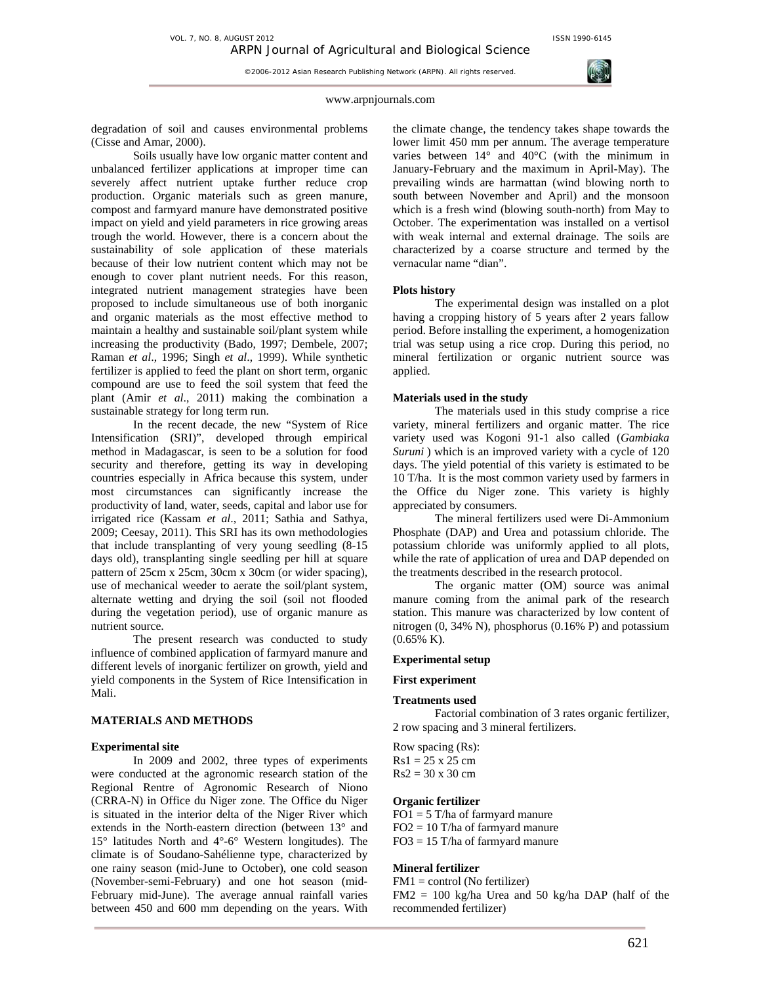#### www.arpnjournals.com

degradation of soil and causes environmental problems (Cisse and Amar, 2000).

Soils usually have low organic matter content and unbalanced fertilizer applications at improper time can severely affect nutrient uptake further reduce crop production. Organic materials such as green manure, compost and farmyard manure have demonstrated positive impact on yield and yield parameters in rice growing areas trough the world. However, there is a concern about the sustainability of sole application of these materials because of their low nutrient content which may not be enough to cover plant nutrient needs. For this reason, integrated nutrient management strategies have been proposed to include simultaneous use of both inorganic and organic materials as the most effective method to maintain a healthy and sustainable soil/plant system while increasing the productivity (Bado, 1997; Dembele, 2007; Raman *et al*., 1996; Singh *et al*., 1999). While synthetic fertilizer is applied to feed the plant on short term, organic compound are use to feed the soil system that feed the plant (Amir *et al*., 2011) making the combination a sustainable strategy for long term run.

In the recent decade, the new "System of Rice Intensification (SRI)", developed through empirical method in Madagascar, is seen to be a solution for food security and therefore, getting its way in developing countries especially in Africa because this system, under most circumstances can significantly increase the productivity of land, water, seeds, capital and labor use for irrigated rice (Kassam *et al*., 2011; Sathia and Sathya, 2009; Ceesay, 2011). This SRI has its own methodologies that include transplanting of very young seedling (8-15 days old), transplanting single seedling per hill at square pattern of 25cm x 25cm, 30cm x 30cm (or wider spacing), use of mechanical weeder to aerate the soil/plant system, alternate wetting and drying the soil (soil not flooded during the vegetation period), use of organic manure as nutrient source.

The present research was conducted to study influence of combined application of farmyard manure and different levels of inorganic fertilizer on growth, yield and yield components in the System of Rice Intensification in Mali.

## **MATERIALS AND METHODS**

#### **Experimental site**

In 2009 and 2002, three types of experiments were conducted at the agronomic research station of the Regional Rentre of Agronomic Research of Niono (CRRA-N) in Office du Niger zone. The Office du Niger is situated in the interior delta of the Niger River which extends in the North-eastern direction (between 13° and 15° latitudes North and 4°-6° Western longitudes). The climate is of Soudano-Sahélienne type, characterized by one rainy season (mid-June to October), one cold season (November-semi-February) and one hot season (mid-February mid-June). The average annual rainfall varies between 450 and 600 mm depending on the years. With

the climate change, the tendency takes shape towards the lower limit 450 mm per annum. The average temperature varies between  $14^{\circ}$  and  $40^{\circ}$ C (with the minimum in January-February and the maximum in April-May). The prevailing winds are harmattan (wind blowing north to south between November and April) and the monsoon which is a fresh wind (blowing south-north) from May to October. The experimentation was installed on a vertisol with weak internal and external drainage. The soils are characterized by a coarse structure and termed by the vernacular name "dian".

#### **Plots history**

The experimental design was installed on a plot having a cropping history of 5 years after 2 years fallow period. Before installing the experiment, a homogenization trial was setup using a rice crop. During this period, no mineral fertilization or organic nutrient source was applied.

#### **Materials used in the study**

The materials used in this study comprise a rice variety, mineral fertilizers and organic matter. The rice variety used was Kogoni 91-1 also called (*Gambiaka Suruni* ) which is an improved variety with a cycle of 120 days. The yield potential of this variety is estimated to be 10 T/ha. It is the most common variety used by farmers in the Office du Niger zone. This variety is highly appreciated by consumers.

The mineral fertilizers used were Di-Ammonium Phosphate (DAP) and Urea and potassium chloride. The potassium chloride was uniformly applied to all plots, while the rate of application of urea and DAP depended on the treatments described in the research protocol.

The organic matter (OM) source was animal manure coming from the animal park of the research station. This manure was characterized by low content of nitrogen (0, 34% N), phosphorus (0.16% P) and potassium (0.65% K).

## **Experimental setup**

# **First experiment**

#### **Treatments used**

Factorial combination of 3 rates organic fertilizer, 2 row spacing and 3 mineral fertilizers.

Row spacing (Rs):  $Rs1 = 25 \times 25$  cm  $Rs2 = 30 x 30 cm$ 

## **Organic fertilizer**

 $FO1 = 5$  T/ha of farmyard manure  $FO2 = 10$  T/ha of farmyard manure FO3 = 15 T/ha of farmyard manure

# **Mineral fertilizer**

 $FM1 = control (No fertilizer)$ FM2 = 100 kg/ha Urea and 50 kg/ha DAP (half of the recommended fertilizer)

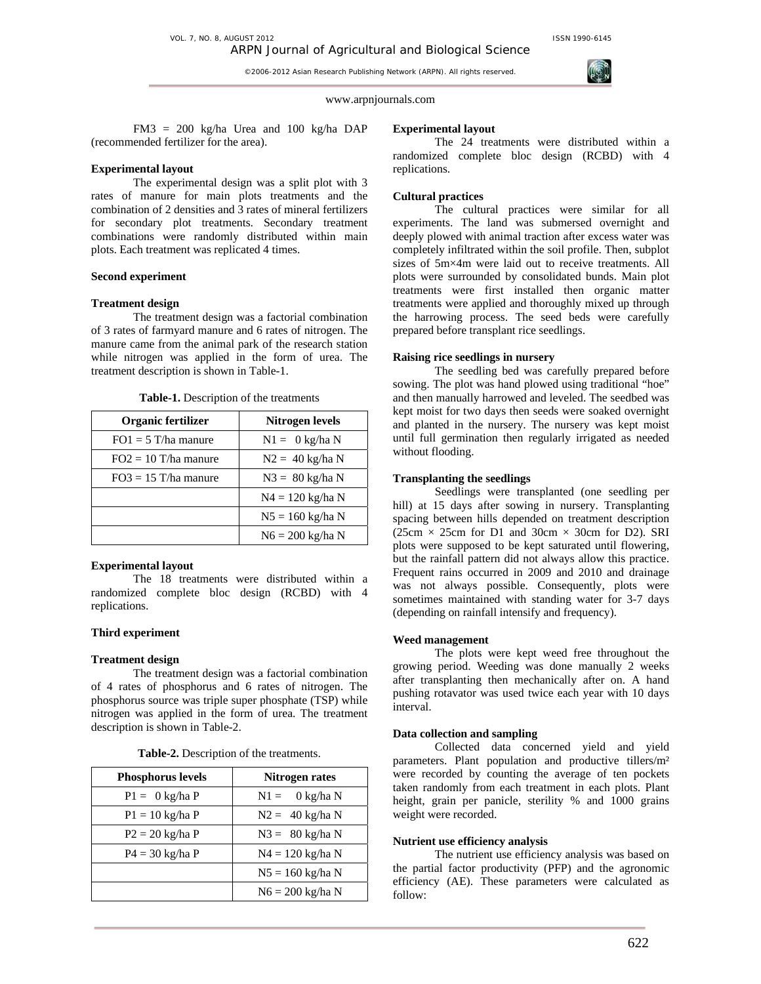

www.arpnjournals.com

FM3 = 200 kg/ha Urea and 100 kg/ha DAP (recommended fertilizer for the area).

## **Experimental layout**

The experimental design was a split plot with 3 rates of manure for main plots treatments and the combination of 2 densities and 3 rates of mineral fertilizers for secondary plot treatments. Secondary treatment combinations were randomly distributed within main plots. Each treatment was replicated 4 times.

# **Second experiment**

## **Treatment design**

The treatment design was a factorial combination of 3 rates of farmyard manure and 6 rates of nitrogen. The manure came from the animal park of the research station while nitrogen was applied in the form of urea. The treatment description is shown in Table-1.

| Table-1. Description of the treatments |               |
|----------------------------------------|---------------|
| Argonic fortilizor                     | Nitrogon love |

| Organic fertilizer     | Nitrogen levels    |
|------------------------|--------------------|
| $FO1 = 5$ T/ha manure  | $N1 = 0$ kg/ha N   |
| $FO2 = 10$ T/ha manure | $N2 = 40$ kg/ha N  |
| $FO3 = 15$ T/ha manure | $N3 = 80$ kg/ha N  |
|                        | $N4 = 120$ kg/ha N |
|                        | $N5 = 160$ kg/ha N |
|                        | $N6 = 200$ kg/ha N |

# **Experimental layout**

The 18 treatments were distributed within a randomized complete bloc design (RCBD) with 4 replications.

# **Third experiment**

## **Treatment design**

The treatment design was a factorial combination of 4 rates of phosphorus and 6 rates of nitrogen. The phosphorus source was triple super phosphate (TSP) while nitrogen was applied in the form of urea. The treatment description is shown in Table-2.

| <b>Phosphorus levels</b>  | Nitrogen rates                |
|---------------------------|-------------------------------|
| $P1 = 0$ kg/ha P          | $0 \text{ kg/ha}$ N<br>$N1 =$ |
| $P1 = 10 \text{ kg/ha} P$ | $N2 = 40$ kg/ha N             |
| $P2 = 20$ kg/ha P         | $N3 = 80$ kg/ha N             |
| $P4 = 30 \text{ kg/ha} P$ | $N4 = 120$ kg/ha N            |
|                           | $N5 = 160$ kg/ha N            |
|                           | $N6 = 200 \text{ kg/ha} N$    |

|  |  | Table-2. Description of the treatments. |
|--|--|-----------------------------------------|
|  |  |                                         |

# **Experimental layout**

The 24 treatments were distributed within a randomized complete bloc design (RCBD) with 4 replications.

## **Cultural practices**

The cultural practices were similar for all experiments. The land was submersed overnight and deeply plowed with animal traction after excess water was completely infiltrated within the soil profile. Then, subplot sizes of 5m×4m were laid out to receive treatments. All plots were surrounded by consolidated bunds. Main plot treatments were first installed then organic matter treatments were applied and thoroughly mixed up through the harrowing process. The seed beds were carefully prepared before transplant rice seedlings.

## **Raising rice seedlings in nursery**

The seedling bed was carefully prepared before sowing. The plot was hand plowed using traditional "hoe" and then manually harrowed and leveled. The seedbed was kept moist for two days then seeds were soaked overnight and planted in the nursery. The nursery was kept moist until full germination then regularly irrigated as needed without flooding.

# **Transplanting the seedlings**

Seedlings were transplanted (one seedling per hill) at 15 days after sowing in nursery. Transplanting spacing between hills depended on treatment description  $(25cm \times 25cm)$  for D1 and 30cm  $\times$  30cm for D2). SRI plots were supposed to be kept saturated until flowering, but the rainfall pattern did not always allow this practice. Frequent rains occurred in 2009 and 2010 and drainage was not always possible. Consequently, plots were sometimes maintained with standing water for 3-7 days (depending on rainfall intensify and frequency).

#### **Weed management**

The plots were kept weed free throughout the growing period. Weeding was done manually 2 weeks after transplanting then mechanically after on. A hand pushing rotavator was used twice each year with 10 days interval.

#### **Data collection and sampling**

Collected data concerned yield and yield parameters. Plant population and productive tillers/m² were recorded by counting the average of ten pockets taken randomly from each treatment in each plots. Plant height, grain per panicle, sterility % and 1000 grains weight were recorded.

# **Nutrient use efficiency analysis**

The nutrient use efficiency analysis was based on the partial factor productivity (PFP) and the agronomic efficiency (AE). These parameters were calculated as follow: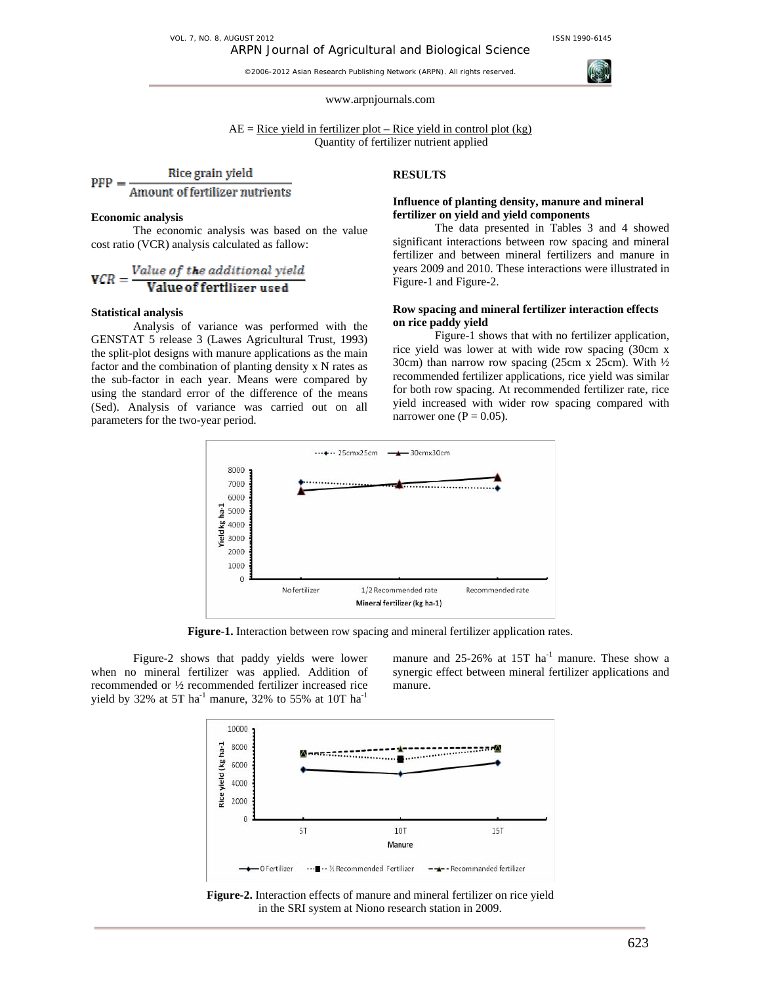VOL. 7, NO. 8, AUGUST 2012 **ISSN 1990-6145** 

## ARPN Journal of Agricultural and Biological Science

©2006-2012 Asian Research Publishing Network (ARPN). All rights reserved.



#### www.arpnjournals.com

 $AE =$  Rice yield in fertilizer plot – Rice yield in control plot (kg) Quantity of fertilizer nutrient applied

Rice grain yield **PFP** Amount of fertilizer nutrients

#### **Economic analysis**

The economic analysis was based on the value cost ratio (VCR) analysis calculated as fallow:

$$
VCR = \frac{Value\ of\ the\ additional\ yield}{Value\ of\ fertilizer\ used}
$$

#### **Statistical analysis**

Analysis of variance was performed with the GENSTAT 5 release 3 (Lawes Agricultural Trust, 1993) the split-plot designs with manure applications as the main factor and the combination of planting density x N rates as the sub-factor in each year. Means were compared by using the standard error of the difference of the means (Sed). Analysis of variance was carried out on all parameters for the two-year period.

## **RESULTS**

## **Influence of planting density, manure and mineral fertilizer on yield and yield components**

The data presented in Tables 3 and 4 showed significant interactions between row spacing and mineral fertilizer and between mineral fertilizers and manure in years 2009 and 2010. These interactions were illustrated in Figure-1 and Figure-2.

## **Row spacing and mineral fertilizer interaction effects on rice paddy yield**

Figure-1 shows that with no fertilizer application, rice yield was lower at with wide row spacing (30cm x 30cm) than narrow row spacing (25cm x 25cm). With  $\frac{1}{2}$ recommended fertilizer applications, rice yield was similar for both row spacing. At recommended fertilizer rate, rice yield increased with wider row spacing compared with narrower one ( $P = 0.05$ ).



**Figure-1.** Interaction between row spacing and mineral fertilizer application rates.

Figure-2 shows that paddy yields were lower when no mineral fertilizer was applied. Addition of recommended or ½ recommended fertilizer increased rice yield by 32% at 5T ha<sup>-1</sup> manure, 32% to 55% at 10T ha<sup>-1</sup>

manure and  $25{\text -}26\%$  at 15T ha<sup>-1</sup> manure. These show a synergic effect between mineral fertilizer applications and manure.



**Figure-2.** Interaction effects of manure and mineral fertilizer on rice yield in the SRI system at Niono research station in 2009.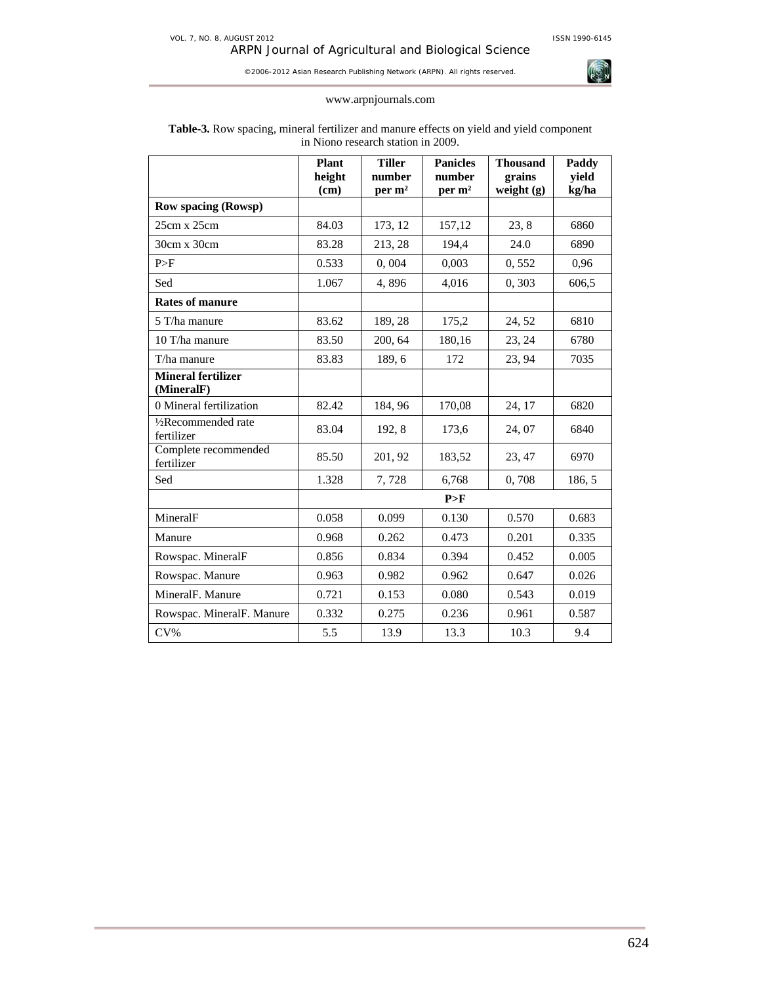

# www.arpnjournals.com

|                                    | <b>Plant</b><br>height<br>(cm) | <b>Tiller</b><br>number<br>per m <sup>2</sup> | <b>Panicles</b><br>number<br>per m <sup>2</sup> | <b>Thousand</b><br>grains<br>weight $(g)$ | Paddy<br>yield<br>kg/ha |
|------------------------------------|--------------------------------|-----------------------------------------------|-------------------------------------------------|-------------------------------------------|-------------------------|
| <b>Row spacing (Rowsp)</b>         |                                |                                               |                                                 |                                           |                         |
| $25cm \times 25cm$                 | 84.03                          | 173, 12                                       | 157,12                                          | 23, 8                                     | 6860                    |
| 30cm x 30cm                        | 83.28                          | 213, 28                                       | 194,4                                           | 24.0                                      | 6890                    |
| P>F                                | 0.533                          | 0,004                                         | 0,003                                           | 0,552                                     | 0,96                    |
| Sed                                | 1.067                          | 4,896                                         | 4,016                                           | 0,303                                     | 606,5                   |
| <b>Rates of manure</b>             |                                |                                               |                                                 |                                           |                         |
| 5 T/ha manure                      | 83.62                          | 189, 28                                       | 175,2                                           | 24, 52                                    | 6810                    |
| 10 T/ha manure                     | 83.50                          | 200, 64                                       | 180,16                                          | 23, 24                                    | 6780                    |
| T/ha manure                        | 83.83                          | 189,6                                         | 172                                             | 23, 94                                    | 7035                    |
| Mineral fertilizer<br>(MineralF)   |                                |                                               |                                                 |                                           |                         |
| 0 Mineral fertilization            | 82.42                          | 184, 96                                       | 170,08                                          | 24, 17                                    | 6820                    |
| 1/2Recommended rate<br>fertilizer  | 83.04                          | 192, 8                                        | 173,6                                           | 24,07                                     | 6840                    |
| Complete recommended<br>fertilizer | 85.50                          | 201, 92                                       | 183,52                                          | 23, 47                                    | 6970                    |
| Sed                                | 1.328                          | 7,728                                         | 6,768                                           | 0,708                                     | 186, 5                  |
|                                    |                                |                                               | P>F                                             |                                           |                         |
| MineralF                           | 0.058                          | 0.099                                         | 0.130                                           | 0.570                                     | 0.683                   |
| Manure                             | 0.968                          | 0.262                                         | 0.473                                           | 0.201                                     | 0.335                   |
| Rowspac. MineralF                  | 0.856                          | 0.834                                         | 0.394                                           | 0.452                                     | 0.005                   |
| Rowspac. Manure                    | 0.963                          | 0.982                                         | 0.962                                           | 0.647                                     | 0.026                   |
| MineralF. Manure                   | 0.721                          | 0.153                                         | 0.080                                           | 0.543                                     | 0.019                   |
| Rowspac. MineralF. Manure          | 0.332                          | 0.275                                         | 0.236                                           | 0.961                                     | 0.587                   |
| $CV\%$                             | 5.5                            | 13.9                                          | 13.3                                            | 10.3                                      | 9.4                     |

# **Table-3.** Row spacing, mineral fertilizer and manure effects on yield and yield component in Niono research station in 2009.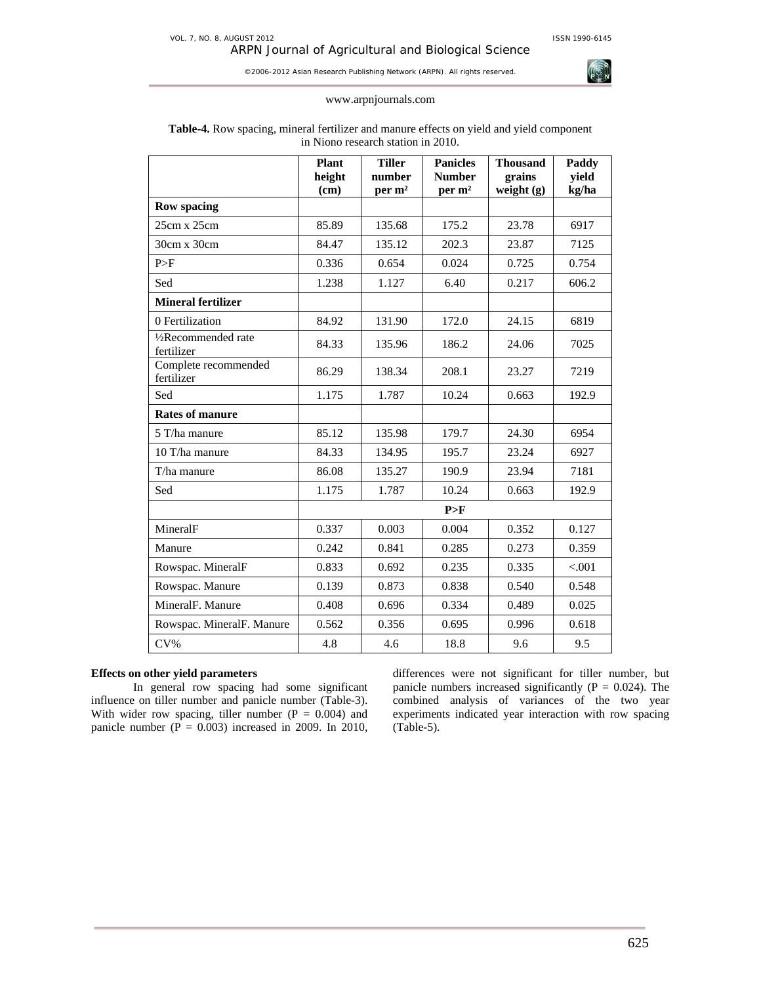

#### www.arpnjournals.com

|                                                | <b>Plant</b><br>height<br>(cm) | <b>Tiller</b><br>number<br>per m <sup>2</sup> | <b>Panicles</b><br><b>Number</b><br>per m <sup>2</sup> | <b>Thousand</b><br>grains<br>weight (g) | Paddy<br>yield<br>kg/ha |
|------------------------------------------------|--------------------------------|-----------------------------------------------|--------------------------------------------------------|-----------------------------------------|-------------------------|
| <b>Row spacing</b>                             |                                |                                               |                                                        |                                         |                         |
| 25cm x 25cm                                    | 85.89                          | 135.68                                        | 175.2                                                  | 23.78                                   | 6917                    |
| 30cm x 30cm                                    | 84.47                          | 135.12                                        | 202.3                                                  | 23.87                                   | 7125                    |
| P>F                                            | 0.336                          | 0.654                                         | 0.024                                                  | 0.725                                   | 0.754                   |
| Sed                                            | 1.238                          | 1.127                                         | 6.40                                                   | 0.217                                   | 606.2                   |
| <b>Mineral fertilizer</b>                      |                                |                                               |                                                        |                                         |                         |
| 0 Fertilization                                | 84.92                          | 131.90                                        | 172.0                                                  | 24.15                                   | 6819                    |
| 1/ <sub>2</sub> Recommended rate<br>fertilizer | 84.33                          | 135.96                                        | 186.2                                                  | 24.06                                   | 7025                    |
| Complete recommended<br>fertilizer             | 86.29                          | 138.34                                        | 208.1                                                  | 23.27                                   | 7219                    |
| Sed                                            | 1.175                          | 1.787                                         | 10.24                                                  | 0.663                                   | 192.9                   |
| <b>Rates of manure</b>                         |                                |                                               |                                                        |                                         |                         |
| 5 T/ha manure                                  | 85.12                          | 135.98                                        | 179.7                                                  | 24.30                                   | 6954                    |
| 10 T/ha manure                                 | 84.33                          | 134.95                                        | 195.7                                                  | 23.24                                   | 6927                    |
| T/ha manure                                    | 86.08                          | 135.27                                        | 190.9                                                  | 23.94                                   | 7181                    |
| Sed                                            | 1.175                          | 1.787                                         | 10.24                                                  | 0.663                                   | 192.9                   |
|                                                |                                |                                               | P>F                                                    |                                         |                         |
| MineralF                                       | 0.337                          | 0.003                                         | 0.004                                                  | 0.352                                   | 0.127                   |
| Manure                                         | 0.242                          | 0.841                                         | 0.285                                                  | 0.273                                   | 0.359                   |
| Rowspac. MineralF                              | 0.833                          | 0.692                                         | 0.235                                                  | 0.335                                   | < 0.001                 |
| Rowspac. Manure                                | 0.139                          | 0.873                                         | 0.838                                                  | 0.540                                   | 0.548                   |
| MineralF. Manure                               | 0.408                          | 0.696                                         | 0.334                                                  | 0.489                                   | 0.025                   |
| Rowspac. MineralF. Manure                      | 0.562                          | 0.356                                         | 0.695                                                  | 0.996                                   | 0.618                   |
| $CV\%$                                         | 4.8                            | 4.6                                           | 18.8                                                   | 9.6                                     | 9.5                     |

# **Table-4.** Row spacing, mineral fertilizer and manure effects on yield and yield component in Niono research station in 2010.

# **Effects on other yield parameters**

In general row spacing had some significant influence on tiller number and panicle number (Table-3). With wider row spacing, tiller number ( $P = 0.004$ ) and panicle number ( $P = 0.003$ ) increased in 2009. In 2010,

differences were not significant for tiller number, but panicle numbers increased significantly ( $P = 0.024$ ). The combined analysis of variances of the two year experiments indicated year interaction with row spacing (Table-5).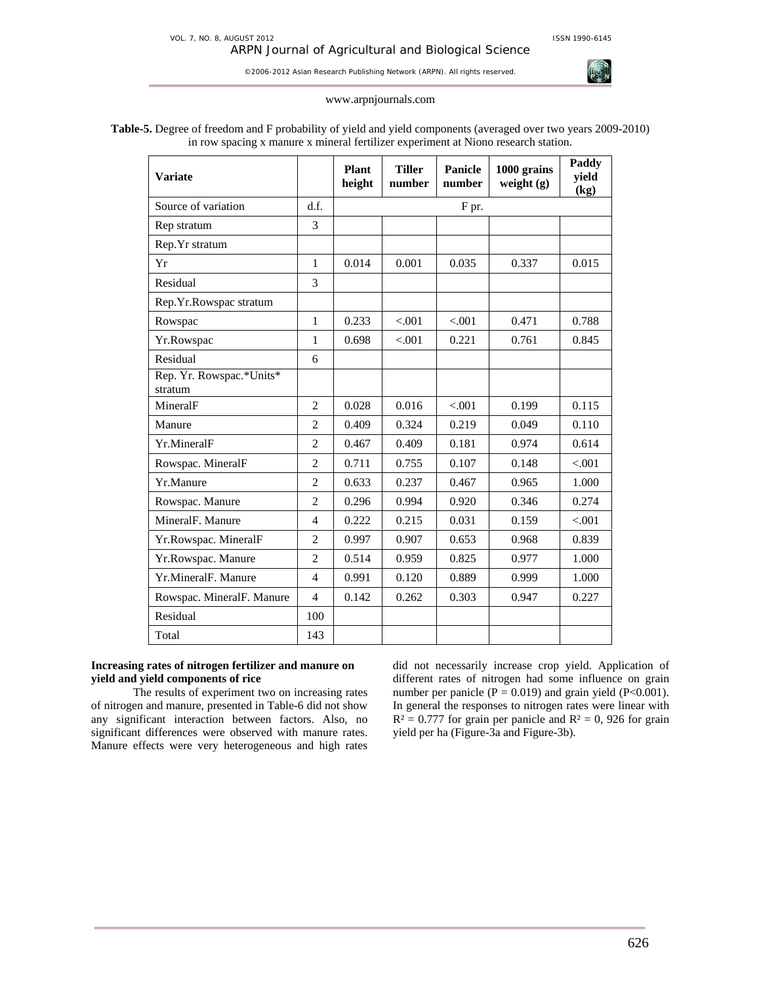ARPN Journal of Agricultural and Biological Science ©2006-2012 Asian Research Publishing Network (ARPN). All rights reserved.

www.arpnjournals.com



# **Table-5.** Degree of freedom and F probability of yield and yield components (averaged over two years 2009-2010) in row spacing x manure x mineral fertilizer experiment at Niono research station.

| <b>Variate</b>                      |                | <b>Plant</b><br>height | <b>Tiller</b><br>number | Panicle<br>number | 1000 grains<br>weight $(g)$ | Paddy<br>yield<br>(kg) |
|-------------------------------------|----------------|------------------------|-------------------------|-------------------|-----------------------------|------------------------|
| Source of variation                 | d.f.           |                        |                         | F pr.             |                             |                        |
| Rep stratum                         | 3              |                        |                         |                   |                             |                        |
| Rep. Yr stratum                     |                |                        |                         |                   |                             |                        |
| Yr                                  | $\mathbf{1}$   | 0.014                  | 0.001                   | 0.035             | 0.337                       | 0.015                  |
| Residual                            | 3              |                        |                         |                   |                             |                        |
| Rep.Yr.Rowspac stratum              |                |                        |                         |                   |                             |                        |
| Rowspac                             | 1              | 0.233                  | < .001                  | < .001            | 0.471                       | 0.788                  |
| Yr.Rowspac                          | 1              | 0.698                  | < .001                  | 0.221             | 0.761                       | 0.845                  |
| Residual                            | 6              |                        |                         |                   |                             |                        |
| Rep. Yr. Rowspac.*Units*<br>stratum |                |                        |                         |                   |                             |                        |
| MineralF                            | $\overline{2}$ | 0.028                  | 0.016                   | < 0.001           | 0.199                       | 0.115                  |
| Manure                              | $\overline{2}$ | 0.409                  | 0.324                   | 0.219             | 0.049                       | 0.110                  |
| Yr.MineralF                         | $\overline{2}$ | 0.467                  | 0.409                   | 0.181             | 0.974                       | 0.614                  |
| Rowspac. MineralF                   | $\overline{2}$ | 0.711                  | 0.755                   | 0.107             | 0.148                       | < 0.001                |
| Yr.Manure                           | $\overline{2}$ | 0.633                  | 0.237                   | 0.467             | 0.965                       | 1.000                  |
| Rowspac. Manure                     | $\overline{2}$ | 0.296                  | 0.994                   | 0.920             | 0.346                       | 0.274                  |
| MineralF. Manure                    | $\overline{4}$ | 0.222                  | 0.215                   | 0.031             | 0.159                       | < 0.01                 |
| Yr.Rowspac. MineralF                | $\overline{2}$ | 0.997                  | 0.907                   | 0.653             | 0.968                       | 0.839                  |
| Yr.Rowspac. Manure                  | $\overline{2}$ | 0.514                  | 0.959                   | 0.825             | 0.977                       | 1.000                  |
| Yr.MineralF. Manure                 | $\overline{4}$ | 0.991                  | 0.120                   | 0.889             | 0.999                       | 1.000                  |
| Rowspac. MineralF. Manure           | $\overline{4}$ | 0.142                  | 0.262                   | 0.303             | 0.947                       | 0.227                  |
| Residual                            | 100            |                        |                         |                   |                             |                        |
| Total                               | 143            |                        |                         |                   |                             |                        |

## **Increasing rates of nitrogen fertilizer and manure on yield and yield components of rice**

The results of experiment two on increasing rates of nitrogen and manure, presented in Table-6 did not show any significant interaction between factors. Also, no significant differences were observed with manure rates. Manure effects were very heterogeneous and high rates

did not necessarily increase crop yield. Application of different rates of nitrogen had some influence on grain number per panicle ( $P = 0.019$ ) and grain yield ( $P < 0.001$ ). In general the responses to nitrogen rates were linear with  $R<sup>2</sup> = 0.777$  for grain per panicle and  $R<sup>2</sup> = 0$ , 926 for grain yield per ha (Figure-3a and Figure-3b).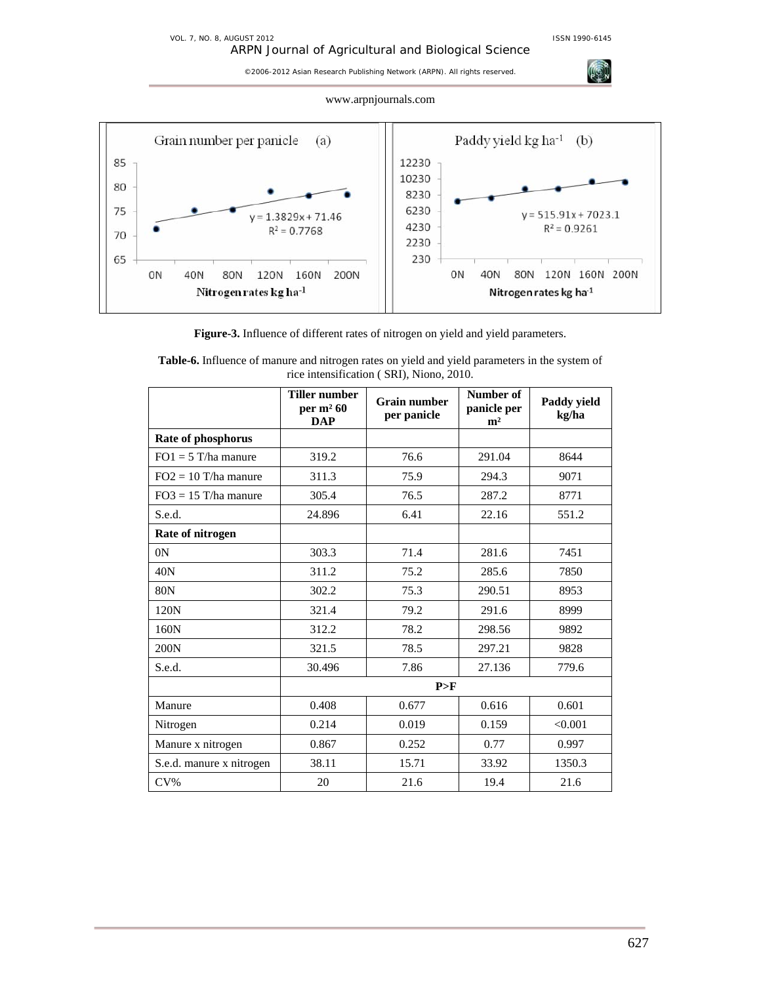**AGE** 

©2006-2012 Asian Research Publishing Network (ARPN). All rights reserved.





**Figure-3.** Influence of different rates of nitrogen on yield and yield parameters.

|                          | <b>Tiller number</b><br>per $m2 60$<br><b>DAP</b> | <b>Grain number</b><br>per panicle | Number of<br>panicle per<br>m <sup>2</sup> | Paddy yield<br>kg/ha |  |
|--------------------------|---------------------------------------------------|------------------------------------|--------------------------------------------|----------------------|--|
| Rate of phosphorus       |                                                   |                                    |                                            |                      |  |
| $FO1 = 5$ T/ha manure    | 319.2                                             | 76.6                               | 291.04                                     | 8644                 |  |
| $FO2 = 10$ T/ha manure   | 311.3                                             | 75.9                               | 294.3                                      | 9071                 |  |
| $FO3 = 15$ T/ha manure   | 305.4                                             | 76.5                               | 287.2                                      | 8771                 |  |
| S.e.d.                   | 24.896                                            | 6.41                               | 22.16                                      | 551.2                |  |
| Rate of nitrogen         |                                                   |                                    |                                            |                      |  |
| 0 <sup>N</sup>           | 303.3                                             | 71.4                               | 281.6                                      | 7451                 |  |
| 40N                      | 311.2                                             | 75.2                               | 285.6                                      | 7850                 |  |
| 80N                      | 302.2                                             | 75.3                               | 290.51                                     | 8953                 |  |
| 120N                     | 321.4                                             | 79.2                               | 291.6                                      | 8999                 |  |
| 160N                     | 312.2                                             | 78.2                               | 298.56                                     | 9892                 |  |
| 200N                     | 321.5                                             | 78.5                               | 297.21                                     | 9828                 |  |
| S.e.d.                   | 30.496                                            | 7.86                               | 27.136                                     | 779.6                |  |
|                          |                                                   | P>F                                |                                            |                      |  |
| Manure                   | 0.408                                             | 0.677                              | 0.616                                      | 0.601                |  |
| Nitrogen                 | 0.214                                             | 0.019                              | 0.159                                      | < 0.001              |  |
| Manure x nitrogen        | 0.867                                             | 0.252                              | 0.77                                       | 0.997                |  |
| S.e.d. manure x nitrogen | 38.11                                             | 15.71                              | 33.92                                      | 1350.3               |  |
| $CV\%$                   | 20                                                | 21.6                               | 19.4                                       | 21.6                 |  |

| <b>Table-6.</b> Influence of manure and nitrogen rates on yield and yield parameters in the system of |
|-------------------------------------------------------------------------------------------------------|
| rice intensification (SRI), Niono, 2010.                                                              |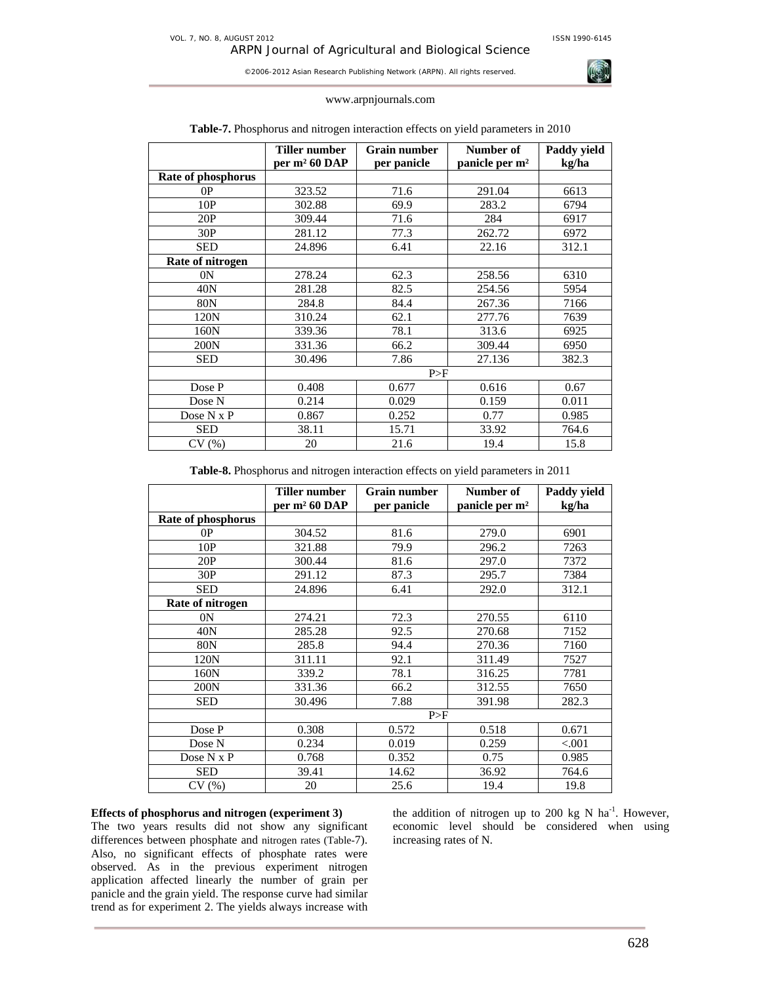

#### www.arpnjournals.com

|                    | Tiller number<br>per m <sup>2</sup> 60 DAP | <b>Grain number</b><br>per panicle | Number of<br>panicle per m <sup>2</sup> | Paddy yield<br>kg/ha |  |  |
|--------------------|--------------------------------------------|------------------------------------|-----------------------------------------|----------------------|--|--|
| Rate of phosphorus |                                            |                                    |                                         |                      |  |  |
| 0P                 | 323.52                                     | 71.6                               | 291.04                                  | 6613                 |  |  |
| 10P                | 302.88                                     | 69.9                               | 283.2                                   | 6794                 |  |  |
| 20P                | 309.44                                     | 71.6                               | 284                                     | 6917                 |  |  |
| 30P                | 281.12                                     | 77.3                               | 262.72                                  | 6972                 |  |  |
| <b>SED</b>         | 24.896                                     | 6.41                               | 22.16                                   | 312.1                |  |  |
| Rate of nitrogen   |                                            |                                    |                                         |                      |  |  |
| 0 <sup>N</sup>     | 278.24                                     | 62.3                               | 258.56                                  | 6310                 |  |  |
| 40N                | 281.28                                     | 82.5                               | 254.56                                  | 5954                 |  |  |
| 80N                | 284.8                                      | 84.4                               | 267.36                                  | 7166                 |  |  |
| 120N               | 310.24                                     | 62.1                               | 277.76                                  | 7639                 |  |  |
| 160N               | 339.36                                     | 78.1                               | 313.6                                   | 6925                 |  |  |
| 200N               | 331.36                                     | 66.2                               | 309.44                                  | 6950                 |  |  |
| <b>SED</b>         | 30.496                                     | 7.86                               | 27.136                                  | 382.3                |  |  |
|                    | P>F                                        |                                    |                                         |                      |  |  |
| Dose P             | 0.408                                      | 0.677                              | 0.616                                   | 0.67                 |  |  |
| Dose N             | 0.214                                      | 0.029                              | 0.159                                   | 0.011                |  |  |
| Dose N x P         | 0.867                                      | 0.252                              | 0.77                                    | 0.985                |  |  |
| <b>SED</b>         | 38.11                                      | 15.71                              | 33.92                                   | 764.6                |  |  |
| CV(%)              | 20                                         | 21.6                               | 19.4                                    | 15.8                 |  |  |

## **Table-7.** Phosphorus and nitrogen interaction effects on yield parameters in 2010

**Table-8.** Phosphorus and nitrogen interaction effects on yield parameters in 2011

|                    | Tiller number    | <b>Grain number</b> | Number of                  | Paddy yield |
|--------------------|------------------|---------------------|----------------------------|-------------|
|                    | per $m^2$ 60 DAP | per panicle         | panicle per m <sup>2</sup> | kg/ha       |
| Rate of phosphorus |                  |                     |                            |             |
| 0P                 | 304.52           | 81.6                | 279.0                      | 6901        |
| 10P                | 321.88           | 79.9                | 296.2                      | 7263        |
| 20P                | 300.44           | 81.6                | 297.0                      | 7372        |
| 30P                | 291.12           | 87.3                | 295.7                      | 7384        |
| <b>SED</b>         | 24.896           | 6.41                | 292.0                      | 312.1       |
| Rate of nitrogen   |                  |                     |                            |             |
| 0 <sup>N</sup>     | 274.21           | 72.3                | 270.55                     | 6110        |
| 40N                | 285.28           | 92.5                | 270.68                     | 7152        |
| 80N                | 285.8            | 94.4                | 270.36                     | 7160        |
| 120N               | 311.11           | 92.1                | 311.49                     | 7527        |
| 160N               | 339.2            | 78.1                | 316.25                     | 7781        |
| 200N               | 331.36           | 66.2                | 312.55                     | 7650        |
| <b>SED</b>         | 30.496           | 7.88                | 391.98                     | 282.3       |
|                    |                  | P>F                 |                            |             |
| Dose P             | 0.308            | 0.572               | 0.518                      | 0.671       |
| Dose N             | 0.234            | 0.019               | 0.259                      | ${<}001$    |
| Dose $N \times P$  | 0.768            | 0.352               | 0.75                       | 0.985       |
| <b>SED</b>         | 39.41            | 14.62               | 36.92                      | 764.6       |
| CV(%)              | 20               | 25.6                | 19.4                       | 19.8        |

## **Effects of phosphorus and nitrogen (experiment 3)**

The two years results did not show any significant differences between phosphate and nitrogen rates (Table-7). Also, no significant effects of phosphate rates were observed. As in the previous experiment nitrogen application affected linearly the number of grain per panicle and the grain yield. The response curve had similar trend as for experiment 2. The yields always increase with

the addition of nitrogen up to 200 kg N  $ha^{-1}$ . However, economic level should be considered when using increasing rates of N.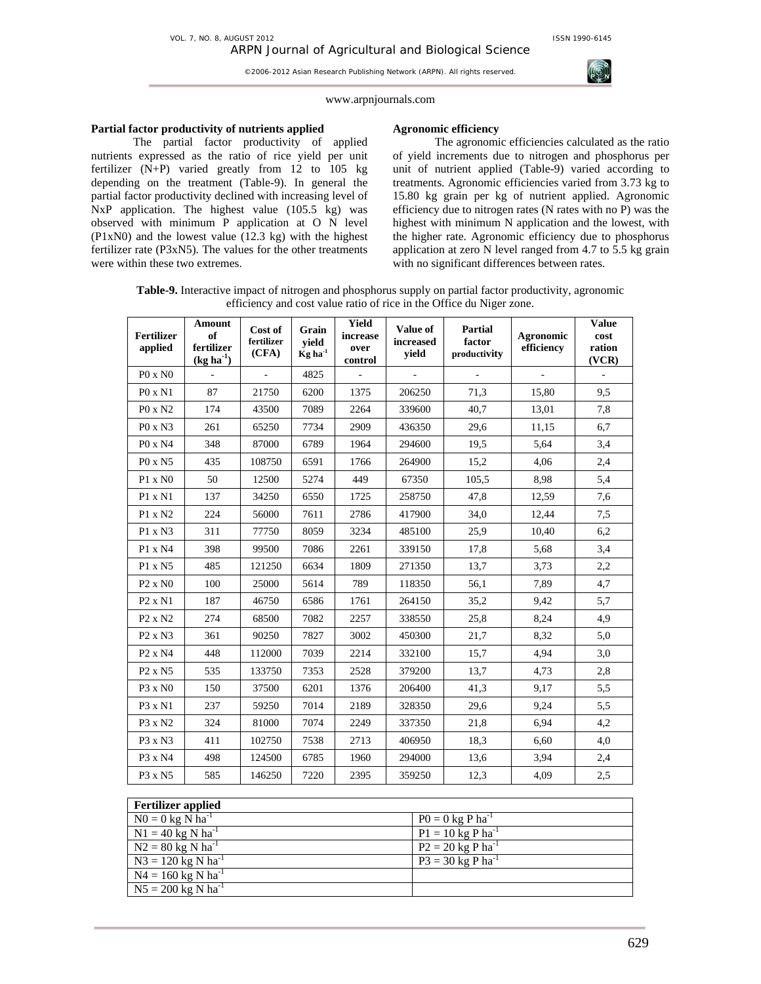

#### www.arpnjournals.com

# **Partial factor productivity of nutrients applied**

The partial factor productivity of applied nutrients expressed as the ratio of rice yield per unit fertilizer  $(N+P)$  varied greatly from 12 to 105 kg depending on the treatment (Table-9). In general the partial factor productivity declined with increasing level of NxP application. The highest value (105.5 kg) was observed with minimum P application at O N level  $(P1xN0)$  and the lowest value  $(12.3 \text{ kg})$  with the highest fertilizer rate (P3xN5). The values for the other treatments were within these two extremes.

## **Agronomic efficiency**

The agronomic efficiencies calculated as the ratio of yield increments due to nitrogen and phosphorus per unit of nutrient applied (Table-9) varied according to treatments. Agronomic efficiencies varied from 3.73 kg to 15.80 kg grain per kg of nutrient applied. Agronomic efficiency due to nitrogen rates (N rates with no P) was the highest with minimum N application and the lowest, with the higher rate. Agronomic efficiency due to phosphorus application at zero N level ranged from 4.7 to 5.5 kg grain with no significant differences between rates.

**Table-9.** Interactive impact of nitrogen and phosphorus supply on partial factor productivity, agronomic efficiency and cost value ratio of rice in the Office du Niger zone.

| <b>Fertilizer</b><br>applied    | Amount<br>of<br>fertilizer<br>$(kg ha^{-1})$ | Cost of<br>fertilizer<br>(CFA) | Grain<br>vield<br>$\mathrm{Kg}$ ha <sup>-1</sup> | <b>Yield</b><br>increase<br>over<br>control | Value of<br>increased<br>yield | Partial<br>factor<br>productivity | Agronomic<br>efficiency | <b>Value</b><br>cost<br>ration<br>(VCR) |
|---------------------------------|----------------------------------------------|--------------------------------|--------------------------------------------------|---------------------------------------------|--------------------------------|-----------------------------------|-------------------------|-----------------------------------------|
| $P0 \times N0$                  |                                              | $\overline{\phantom{a}}$       | 4825                                             |                                             | ÷,                             |                                   | ä,                      | ÷,                                      |
| P0 x N1                         | 87                                           | 21750                          | 6200                                             | 1375                                        | 206250                         | 71,3                              | 15,80                   | 9,5                                     |
| $P0 \times N2$                  | 174                                          | 43500                          | 7089                                             | 2264                                        | 339600                         | 40,7                              | 13,01                   | 7,8                                     |
| P0 x N3                         | 261                                          | 65250                          | 7734                                             | 2909                                        | 436350                         | 29,6                              | 11,15                   | 6,7                                     |
| P0 x N4                         | 348                                          | 87000                          | 6789                                             | 1964                                        | 294600                         | 19,5                              | 5,64                    | 3,4                                     |
| $P0 \times N5$                  | 435                                          | 108750                         | 6591                                             | 1766                                        | 264900                         | 15,2                              | 4,06                    | 2,4                                     |
| $P1 \times N0$                  | 50                                           | 12500                          | 5274                                             | 449                                         | 67350                          | 105.5                             | 8,98                    | 5,4                                     |
| P1 x N1                         | 137                                          | 34250                          | 6550                                             | 1725                                        | 258750                         | 47,8                              | 12,59                   | 7,6                                     |
| P1 x N2                         | 224                                          | 56000                          | 7611                                             | 2786                                        | 417900                         | 34,0                              | 12,44                   | 7,5                                     |
| P1 x N3                         | 311                                          | 77750                          | 8059                                             | 3234                                        | 485100                         | 25.9                              | 10.40                   | 6,2                                     |
| P1 x N4                         | 398                                          | 99500                          | 7086                                             | 2261                                        | 339150                         | 17,8                              | 5,68                    | 3,4                                     |
| P1 x N5                         | 485                                          | 121250                         | 6634                                             | 1809                                        | 271350                         | 13,7                              | 3,73                    | 2,2                                     |
| $P2 \times N0$                  | 100                                          | 25000                          | 5614                                             | 789                                         | 118350                         | 56,1                              | 7.89                    | 4,7                                     |
| $P2 \times N1$                  | 187                                          | 46750                          | 6586                                             | 1761                                        | 264150                         | 35,2                              | 9,42                    | 5,7                                     |
| P <sub>2</sub> x N <sub>2</sub> | 274                                          | 68500                          | 7082                                             | 2257                                        | 338550                         | 25,8                              | 8,24                    | 4,9                                     |
| $P2 \times N3$                  | 361                                          | 90250                          | 7827                                             | 3002                                        | 450300                         | 21,7                              | 8,32                    | 5,0                                     |
| P <sub>2</sub> x N <sub>4</sub> | 448                                          | 112000                         | 7039                                             | 2214                                        | 332100                         | 15,7                              | 4,94                    | 3,0                                     |
| P <sub>2</sub> x N <sub>5</sub> | 535                                          | 133750                         | 7353                                             | 2528                                        | 379200                         | 13,7                              | 4,73                    | 2,8                                     |
| P3 x N0                         | 150                                          | 37500                          | 6201                                             | 1376                                        | 206400                         | 41,3                              | 9,17                    | 5,5                                     |
| P3 x N1                         | 237                                          | 59250                          | 7014                                             | 2189                                        | 328350                         | 29,6                              | 9,24                    | 5,5                                     |
| P3 x N2                         | 324                                          | 81000                          | 7074                                             | 2249                                        | 337350                         | 21,8                              | 6,94                    | 4,2                                     |
| $P3 \times N3$                  | 411                                          | 102750                         | 7538                                             | 2713                                        | 406950                         | 18,3                              | 6,60                    | 4,0                                     |
| P3 x N4                         | 498                                          | 124500                         | 6785                                             | 1960                                        | 294000                         | 13,6                              | 3,94                    | 2,4                                     |
| P3 x N5                         | 585                                          | 146250                         | 7220                                             | 2395                                        | 359250                         | 12,3                              | 4,09                    | 2,5                                     |

| <b>Fertilizer applied</b>        |                                        |
|----------------------------------|----------------------------------------|
| $N0 = 0$ kg N ha <sup>-1</sup>   | $P0 = 0$ kg P ha <sup>-1</sup>         |
| $N1 = 40$ kg N ha <sup>-1</sup>  | $P1 = 10$ kg P ha <sup>-1</sup>        |
| $N2 = 80$ kg N ha <sup>-1</sup>  | $P2 = 20$ kg P ha <sup>-1</sup>        |
| $N3 = 120$ kg N ha <sup>-1</sup> | $P3 = 30 \text{ kg} P \text{ ha}^{-1}$ |
| $N4 = 160$ kg N ha <sup>-1</sup> |                                        |
| $N5 = 200$ kg N ha <sup>-1</sup> |                                        |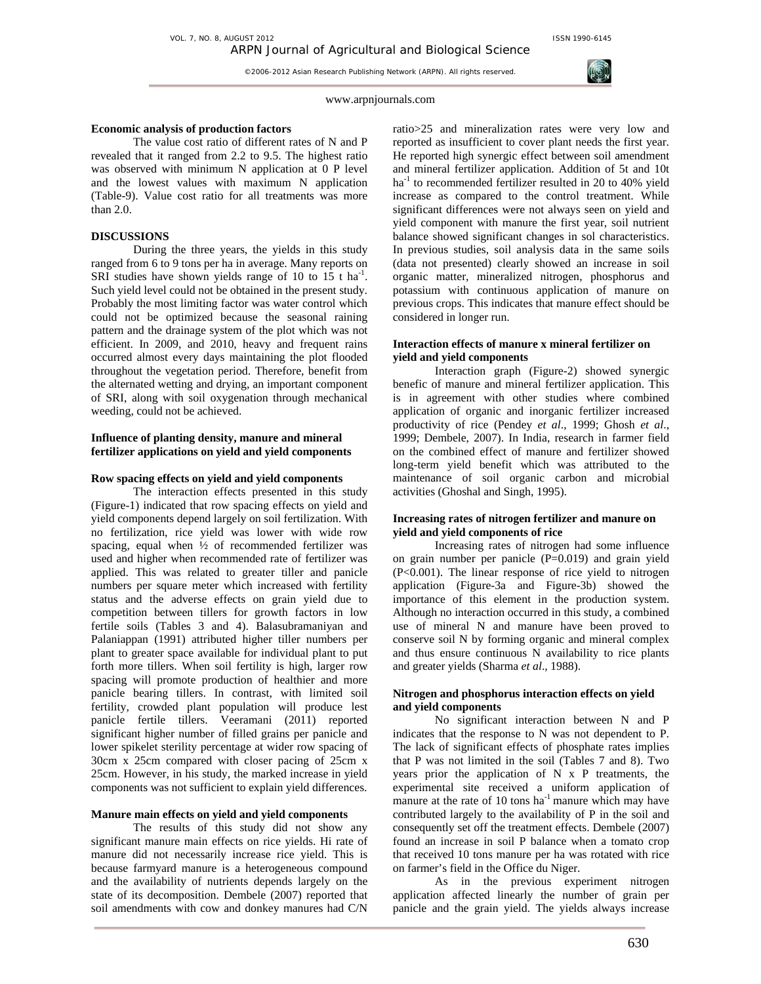

#### **Economic analysis of production factors**

The value cost ratio of different rates of N and P revealed that it ranged from 2.2 to 9.5. The highest ratio was observed with minimum N application at 0 P level and the lowest values with maximum N application (Table-9). Value cost ratio for all treatments was more than 2.0.

## **DISCUSSIONS**

During the three years, the yields in this study ranged from 6 to 9 tons per ha in average. Many reports on SRI studies have shown yields range of 10 to 15 t ha<sup>-1</sup>. Such yield level could not be obtained in the present study. Probably the most limiting factor was water control which could not be optimized because the seasonal raining pattern and the drainage system of the plot which was not efficient. In 2009, and 2010, heavy and frequent rains occurred almost every days maintaining the plot flooded throughout the vegetation period. Therefore, benefit from the alternated wetting and drying, an important component of SRI, along with soil oxygenation through mechanical weeding, could not be achieved.

## **Influence of planting density, manure and mineral fertilizer applications on yield and yield components**

#### **Row spacing effects on yield and yield components**

The interaction effects presented in this study (Figure-1) indicated that row spacing effects on yield and yield components depend largely on soil fertilization. With no fertilization, rice yield was lower with wide row spacing, equal when  $\frac{1}{2}$  of recommended fertilizer was used and higher when recommended rate of fertilizer was applied. This was related to greater tiller and panicle numbers per square meter which increased with fertility status and the adverse effects on grain yield due to competition between tillers for growth factors in low fertile soils (Tables 3 and 4). Balasubramaniyan and Palaniappan (1991) attributed higher tiller numbers per plant to greater space available for individual plant to put forth more tillers. When soil fertility is high, larger row spacing will promote production of healthier and more panicle bearing tillers. In contrast, with limited soil fertility, crowded plant population will produce lest panicle fertile tillers. Veeramani (2011) reported significant higher number of filled grains per panicle and lower spikelet sterility percentage at wider row spacing of 30cm x 25cm compared with closer pacing of 25cm x 25cm. However, in his study, the marked increase in yield components was not sufficient to explain yield differences.

## **Manure main effects on yield and yield components**

The results of this study did not show any significant manure main effects on rice yields. Hi rate of manure did not necessarily increase rice yield. This is because farmyard manure is a heterogeneous compound and the availability of nutrients depends largely on the state of its decomposition. Dembele (2007) reported that soil amendments with cow and donkey manures had C/N

ratio>25 and mineralization rates were very low and reported as insufficient to cover plant needs the first year. He reported high synergic effect between soil amendment and mineral fertilizer application. Addition of 5t and 10t  $ha<sup>-1</sup>$  to recommended fertilizer resulted in 20 to 40% yield increase as compared to the control treatment. While significant differences were not always seen on yield and yield component with manure the first year, soil nutrient balance showed significant changes in sol characteristics. In previous studies, soil analysis data in the same soils (data not presented) clearly showed an increase in soil organic matter, mineralized nitrogen, phosphorus and potassium with continuous application of manure on previous crops. This indicates that manure effect should be considered in longer run.

## **Interaction effects of manure x mineral fertilizer on yield and yield components**

Interaction graph (Figure-2) showed synergic benefic of manure and mineral fertilizer application. This is in agreement with other studies where combined application of organic and inorganic fertilizer increased productivity of rice (Pendey *et al*., 1999; Ghosh *et al*., 1999; Dembele, 2007). In India, research in farmer field on the combined effect of manure and fertilizer showed long-term yield benefit which was attributed to the maintenance of soil organic carbon and microbial activities (Ghoshal and Singh, 1995).

# **Increasing rates of nitrogen fertilizer and manure on yield and yield components of rice**

Increasing rates of nitrogen had some influence on grain number per panicle  $(P=0.019)$  and grain yield (P<0.001). The linear response of rice yield to nitrogen application (Figure-3a and Figure-3b) showed the importance of this element in the production system. Although no interaction occurred in this study, a combined use of mineral N and manure have been proved to conserve soil N by forming organic and mineral complex and thus ensure continuous N availability to rice plants and greater yields (Sharma *et al*., 1988).

## **Nitrogen and phosphorus interaction effects on yield and yield components**

No significant interaction between N and P indicates that the response to N was not dependent to P. The lack of significant effects of phosphate rates implies that P was not limited in the soil (Tables 7 and 8). Two years prior the application of  $N \times P$  treatments, the experimental site received a uniform application of manure at the rate of 10 tons ha<sup>-1</sup> manure which may have contributed largely to the availability of P in the soil and consequently set off the treatment effects. Dembele (2007) found an increase in soil P balance when a tomato crop that received 10 tons manure per ha was rotated with rice on farmer's field in the Office du Niger.

As in the previous experiment nitrogen application affected linearly the number of grain per panicle and the grain yield. The yields always increase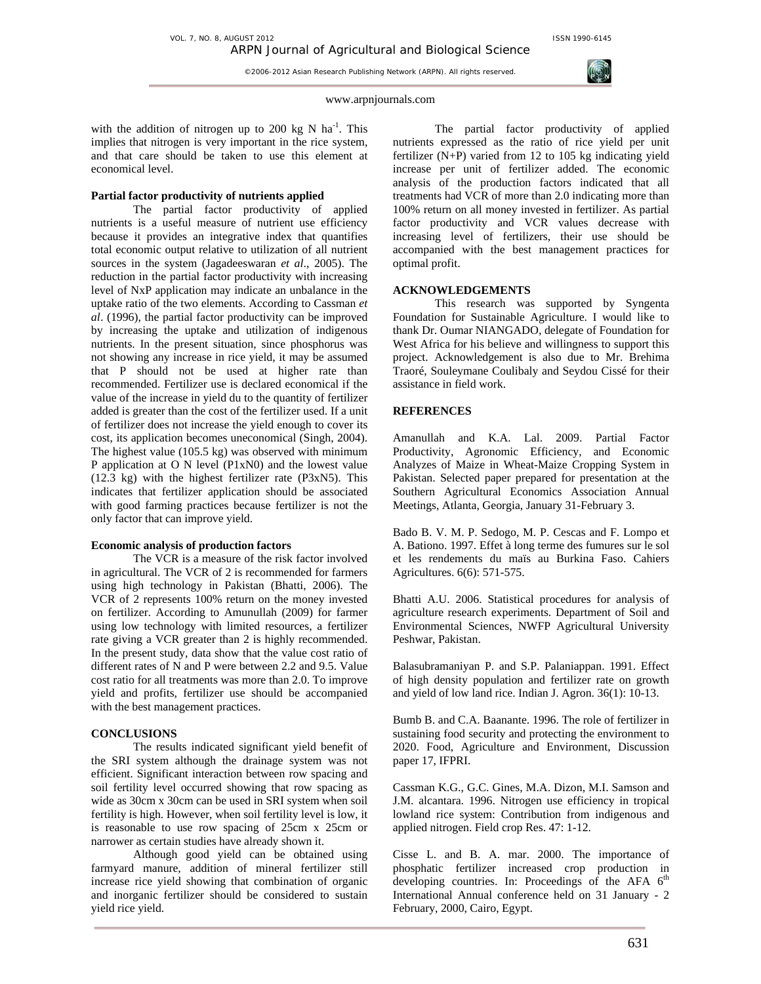VOL. 7, NO. 8, AUGUST 2012 **ISSN 1990-6145** 

©2006-2012 Asian Research Publishing Network (ARPN). All rights reserved.



www.arpnjournals.com

with the addition of nitrogen up to 200 kg N  $ha^{-1}$ . This implies that nitrogen is very important in the rice system, and that care should be taken to use this element at economical level.

## **Partial factor productivity of nutrients applied**

The partial factor productivity of applied nutrients is a useful measure of nutrient use efficiency because it provides an integrative index that quantifies total economic output relative to utilization of all nutrient sources in the system (Jagadeeswaran *et al*., 2005). The reduction in the partial factor productivity with increasing level of NxP application may indicate an unbalance in the uptake ratio of the two elements. According to Cassman *et al*. (1996), the partial factor productivity can be improved by increasing the uptake and utilization of indigenous nutrients. In the present situation, since phosphorus was not showing any increase in rice yield, it may be assumed that P should not be used at higher rate than recommended. Fertilizer use is declared economical if the value of the increase in yield du to the quantity of fertilizer added is greater than the cost of the fertilizer used. If a unit of fertilizer does not increase the yield enough to cover its cost, its application becomes uneconomical (Singh, 2004). The highest value (105.5 kg) was observed with minimum P application at O N level (P1xN0) and the lowest value (12.3 kg) with the highest fertilizer rate (P3xN5). This indicates that fertilizer application should be associated with good farming practices because fertilizer is not the only factor that can improve yield.

#### **Economic analysis of production factors**

The VCR is a measure of the risk factor involved in agricultural. The VCR of 2 is recommended for farmers using high technology in Pakistan (Bhatti, 2006). The VCR of 2 represents 100% return on the money invested on fertilizer. According to Amunullah (2009) for farmer using low technology with limited resources, a fertilizer rate giving a VCR greater than 2 is highly recommended. In the present study, data show that the value cost ratio of different rates of N and P were between 2.2 and 9.5. Value cost ratio for all treatments was more than 2.0. To improve yield and profits, fertilizer use should be accompanied with the best management practices.

# **CONCLUSIONS**

The results indicated significant yield benefit of the SRI system although the drainage system was not efficient. Significant interaction between row spacing and soil fertility level occurred showing that row spacing as wide as 30cm x 30cm can be used in SRI system when soil fertility is high. However, when soil fertility level is low, it is reasonable to use row spacing of 25cm x 25cm or narrower as certain studies have already shown it.

Although good yield can be obtained using farmyard manure, addition of mineral fertilizer still increase rice yield showing that combination of organic and inorganic fertilizer should be considered to sustain yield rice yield.

The partial factor productivity of applied nutrients expressed as the ratio of rice yield per unit fertilizer (N+P) varied from 12 to 105 kg indicating yield increase per unit of fertilizer added. The economic analysis of the production factors indicated that all treatments had VCR of more than 2.0 indicating more than 100% return on all money invested in fertilizer. As partial factor productivity and VCR values decrease with increasing level of fertilizers, their use should be accompanied with the best management practices for optimal profit.

# **ACKNOWLEDGEMENTS**

This research was supported by Syngenta Foundation for Sustainable Agriculture. I would like to thank Dr. Oumar NIANGADO, delegate of Foundation for West Africa for his believe and willingness to support this project. Acknowledgement is also due to Mr. Brehima Traoré, Souleymane Coulibaly and Seydou Cissé for their assistance in field work.

# **REFERENCES**

Amanullah and K.A. Lal. 2009. Partial Factor Productivity, Agronomic Efficiency, and Economic Analyzes of Maize in Wheat-Maize Cropping System in Pakistan. Selected paper prepared for presentation at the Southern Agricultural Economics Association Annual Meetings, Atlanta, Georgia, January 31-February 3.

Bado B. V. M. P. Sedogo, M. P. Cescas and F. Lompo et A. Bationo. 1997. Effet à long terme des fumures sur le sol et les rendements du maïs au Burkina Faso. Cahiers Agricultures. 6(6): 571-575.

Bhatti A.U. 2006. Statistical procedures for analysis of agriculture research experiments. Department of Soil and Environmental Sciences, NWFP Agricultural University Peshwar, Pakistan.

Balasubramaniyan P. and S.P. Palaniappan. 1991. Effect of high density population and fertilizer rate on growth and yield of low land rice. Indian J. Agron. 36(1): 10-13.

Bumb B. and C.A. Baanante. 1996. The role of fertilizer in sustaining food security and protecting the environment to 2020. Food, Agriculture and Environment, Discussion paper 17, IFPRI.

Cassman K.G., G.C. Gines, M.A. Dizon, M.I. Samson and J.M. alcantara. 1996. Nitrogen use efficiency in tropical lowland rice system: Contribution from indigenous and applied nitrogen. Field crop Res. 47: 1-12.

Cisse L. and B. A. mar. 2000. The importance of phosphatic fertilizer increased crop production in developing countries. In: Proceedings of the AFA  $6<sup>th</sup>$ International Annual conference held on 31 January - 2 February, 2000, Cairo, Egypt.